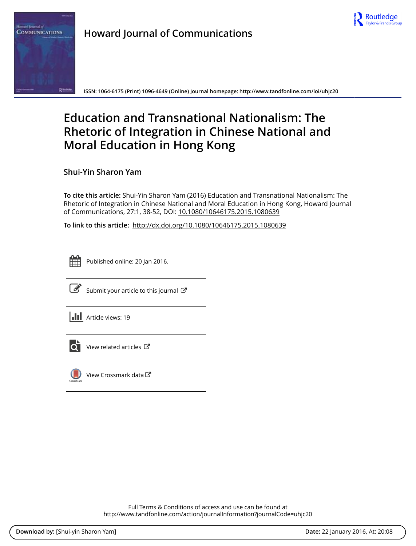



**Howard Journal of Communications**

**ISSN: 1064-6175 (Print) 1096-4649 (Online) Journal homepage:<http://www.tandfonline.com/loi/uhjc20>**

# **Education and Transnational Nationalism: The Rhetoric of Integration in Chinese National and Moral Education in Hong Kong**

**Shui-Yin Sharon Yam**

**To cite this article:** Shui-Yin Sharon Yam (2016) Education and Transnational Nationalism: The Rhetoric of Integration in Chinese National and Moral Education in Hong Kong, Howard Journal of Communications, 27:1, 38-52, DOI: [10.1080/10646175.2015.1080639](http://www.tandfonline.com/action/showCitFormats?doi=10.1080/10646175.2015.1080639)

**To link to this article:** <http://dx.doi.org/10.1080/10646175.2015.1080639>



Published online: 20 Jan 2016.



 $\overline{\mathscr{L}}$  [Submit your article to this journal](http://www.tandfonline.com/action/authorSubmission?journalCode=uhjc20&page=instructions)  $\mathbb{F}$ 





 $\overrightarrow{Q}$  [View related articles](http://www.tandfonline.com/doi/mlt/10.1080/10646175.2015.1080639)  $\overrightarrow{C}$ 



[View Crossmark data](http://crossmark.crossref.org/dialog/?doi=10.1080/10646175.2015.1080639&domain=pdf&date_stamp=2016-01-20) $G$ 

Full Terms & Conditions of access and use can be found at <http://www.tandfonline.com/action/journalInformation?journalCode=uhjc20>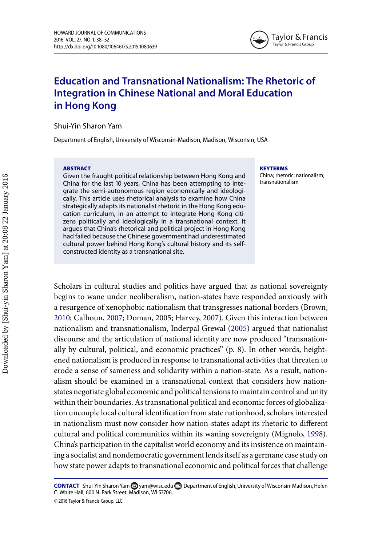

# **Education and Transnational Nationalism: The Rhetoric of Integration in Chinese National and Moral Education in Hong Kong**

Shui-Yin Sharon Yam

Department of English, University of Wisconsin-Madison, Madison, Wisconsin, USA

#### **ABSTRACT**

Given the fraught political relationship between Hong Kong and China for the last 10 years, China has been attempting to integrate the semi-autonomous region economically and ideologically. This article uses rhetorical analysis to examine how China strategically adapts its nationalist rhetoric in the Hong Kong education curriculum, in an attempt to integrate Hong Kong citizens politically and ideologically in a transnational context. It argues that China's rhetorical and political project in Hong Kong had failed because the Chinese government had underestimated cultural power behind Hong Kong's cultural history and its selfconstructed identity as a transnational site.

**KEYTERMS**

China; rhetoric; nationalism; transnationalism

Scholars in cultural studies and politics have argued that as national sovereignty begins to wane under neoliberalism, nation-states have responded anxiously with a resurgence of xenophobic nationalism that transgresses national borders (Brown, [2010;](#page-13-0) Calhoun, [2007;](#page-14-0) Doman, 2005; Harvey, [2007\)](#page-14-1). Given this interaction between nationalism and transnationalism, Inderpal Grewal [\(2005\)](#page-14-2) argued that nationalist discourse and the articulation of national identity are now produced "transnationally by cultural, political, and economic practices" (p. 8). In other words, heightened nationalism is produced in response to transnational activities that threaten to erode a sense of sameness and solidarity within a nation-state. As a result, nationalism should be examined in a transnational context that considers how nationstates negotiate global economic and political tensions to maintain control and unity within their boundaries. As transnational political and economic forces of globalization uncouple local cultural identification from state nationhood, scholars interested in nationalism must now consider how nation-states adapt its rhetoric to different cultural and political communities within its waning sovereignty (Mignolo, [1998\)](#page-15-0). China's participation in the capitalist world economy and its insistence on maintaining a socialist and nondemocratic government lends itself as a germane case study on how state power adapts to transnational economic and political forces that challenge

CONTACT Shui-Yin Sharon Yam **O**[yam@wisc.edu](mailto:yam@wisc.edu) **D** Department of English, University of Wisconsin-Madison, Helen C. White Hall, 600 N. Park Street, Madison, WI 53706.

<sup>© 2016</sup> Taylor & Francis Group, LLC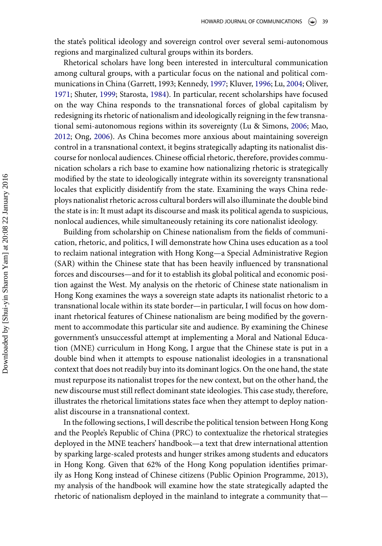the state's political ideology and sovereign control over several semi-autonomous regions and marginalized cultural groups within its borders.

Rhetorical scholars have long been interested in intercultural communication among cultural groups, with a particular focus on the national and political communications in China (Garrett, 1993; Kennedy, [1997;](#page-14-3) Kluver, [1996;](#page-14-4) Lu, [2004;](#page-15-1) Oliver, [1971;](#page-15-2) Shuter, [1999;](#page-15-3) Starosta, [1984\)](#page-15-4). In particular, recent scholarships have focused on the way China responds to the transnational forces of global capitalism by redesigning its rhetoric of nationalism and ideologically reigning in the few transnational semi-autonomous regions within its sovereignty (Lu & Simons, [2006;](#page-15-5) Mao, [2012;](#page-15-6) Ong, [2006\)](#page-15-7). As China becomes more anxious about maintaining sovereign control in a transnational context, it begins strategically adapting its nationalist discourse for nonlocal audiences. Chinese official rhetoric, therefore, provides communication scholars a rich base to examine how nationalizing rhetoric is strategically modified by the state to ideologically integrate within its sovereignty transnational locales that explicitly disidentify from the state. Examining the ways China redeploys nationalist rhetoric across cultural borders will also illuminate the double bind the state is in: It must adapt its discourse and mask its political agenda to suspicious, nonlocal audiences, while simultaneously retaining its core nationalist ideology.

Building from scholarship on Chinese nationalism from the fields of communication, rhetoric, and politics, I will demonstrate how China uses education as a tool to reclaim national integration with Hong Kong—a Special Administrative Region (SAR) within the Chinese state that has been heavily influenced by transnational forces and discourses—and for it to establish its global political and economic position against the West. My analysis on the rhetoric of Chinese state nationalism in Hong Kong examines the ways a sovereign state adapts its nationalist rhetoric to a transnational locale within its state border—in particular, I will focus on how dominant rhetorical features of Chinese nationalism are being modified by the government to accommodate this particular site and audience. By examining the Chinese government's unsuccessful attempt at implementing a Moral and National Education (MNE) curriculum in Hong Kong, I argue that the Chinese state is put in a double bind when it attempts to espouse nationalist ideologies in a transnational context that does not readily buy into its dominant logics. On the one hand, the state must repurpose its nationalist tropes for the new context, but on the other hand, the new discourse must still reflect dominant state ideologies. This case study, therefore, illustrates the rhetorical limitations states face when they attempt to deploy nationalist discourse in a transnational context.

In the following sections, I will describe the political tension between Hong Kong and the People's Republic of China (PRC) to contextualize the rhetorical strategies deployed in the MNE teachers' handbook—a text that drew international attention by sparking large-scaled protests and hunger strikes among students and educators in Hong Kong. Given that 62% of the Hong Kong population identifies primarily as Hong Kong instead of Chinese citizens (Public Opinion Programme, 2013), my analysis of the handbook will examine how the state strategically adapted the rhetoric of nationalism deployed in the mainland to integrate a community that—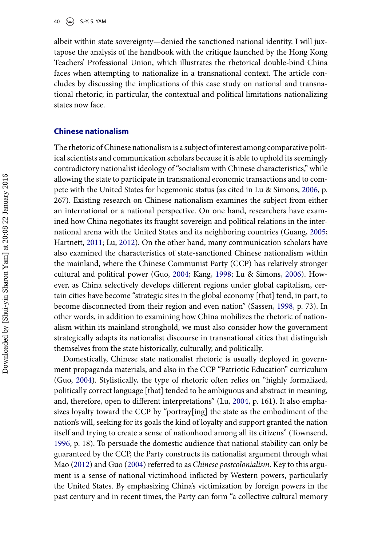albeit within state sovereignty—denied the sanctioned national identity. I will juxtapose the analysis of the handbook with the critique launched by the Hong Kong Teachers' Professional Union, which illustrates the rhetorical double-bind China faces when attempting to nationalize in a transnational context. The article concludes by discussing the implications of this case study on national and transnational rhetoric; in particular, the contextual and political limitations nationalizing states now face.

# **Chinese nationalism**

The rhetoric of Chinese nationalism is a subject of interest among comparative political scientists and communication scholars because it is able to uphold its seemingly contradictory nationalist ideology of "socialism with Chinese characteristics," while allowing the state to participate in transnational economic transactions and to compete with the United States for hegemonic status (as cited in Lu & Simons, [2006,](#page-15-5) p. 267). Existing research on Chinese nationalism examines the subject from either an international or a national perspective. On one hand, researchers have examined how China negotiates its fraught sovereign and political relations in the international arena with the United States and its neighboring countries (Guang, [2005;](#page-14-5) Hartnett, [2011;](#page-14-6) Lu, [2012\)](#page-15-8). On the other hand, many communication scholars have also examined the characteristics of state-sanctioned Chinese nationalism within the mainland, where the Chinese Communist Party (CCP) has relatively stronger cultural and political power (Guo, [2004;](#page-14-7) Kang, [1998;](#page-14-8) Lu & Simons, [2006\)](#page-15-5). However, as China selectively develops different regions under global capitalism, certain cities have become "strategic sites in the global economy [that] tend, in part, to become disconnected from their region and even nation" (Sassen, [1998,](#page-15-9) p. 73). In other words, in addition to examining how China mobilizes the rhetoric of nationalism within its mainland stronghold, we must also consider how the government strategically adapts its nationalist discourse in transnational cities that distinguish themselves from the state historically, culturally, and politically.

Domestically, Chinese state nationalist rhetoric is usually deployed in government propaganda materials, and also in the CCP "Patriotic Education" curriculum (Guo, [2004\)](#page-14-7). Stylistically, the type of rhetoric often relies on "highly formalized, politically correct language [that] tended to be ambiguous and abstract in meaning, and, therefore, open to different interpretations" (Lu, [2004,](#page-15-1) p. 161). It also emphasizes loyalty toward the CCP by "portray[ing] the state as the embodiment of the nation's will, seeking for its goals the kind of loyalty and support granted the nation itself and trying to create a sense of nationhood among all its citizens" (Townsend, [1996,](#page-15-10) p. 18). To persuade the domestic audience that national stability can only be guaranteed by the CCP, the Party constructs its nationalist argument through what Mao [\(2012\)](#page-15-6) and Guo [\(2004\)](#page-14-7) referred to as *Chinese postcolonialism*. Key to this argument is a sense of national victimhood inflicted by Western powers, particularly the United States. By emphasizing China's victimization by foreign powers in the past century and in recent times, the Party can form "a collective cultural memory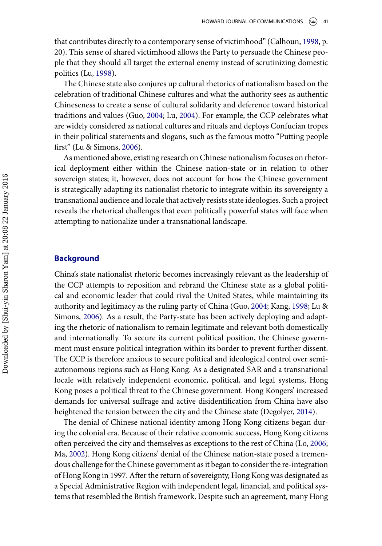that contributes directly to a contemporary sense of victimhood" (Calhoun, [1998,](#page-13-1) p. 20). This sense of shared victimhood allows the Party to persuade the Chinese people that they should all target the external enemy instead of scrutinizing domestic politics (Lu, [1998\)](#page-15-11).

The Chinese state also conjures up cultural rhetorics of nationalism based on the celebration of traditional Chinese cultures and what the authority sees as authentic Chineseness to create a sense of cultural solidarity and deference toward historical traditions and values (Guo, [2004;](#page-14-7) Lu, [2004\)](#page-15-1). For example, the CCP celebrates what are widely considered as national cultures and rituals and deploys Confucian tropes in their political statements and slogans, such as the famous motto "Putting people first" (Lu & Simons, [2006\)](#page-15-5).

As mentioned above, existing research on Chinese nationalism focuses on rhetorical deployment either within the Chinese nation-state or in relation to other sovereign states; it, however, does not account for how the Chinese government is strategically adapting its nationalist rhetoric to integrate within its sovereignty a transnational audience and locale that actively resists state ideologies. Such a project reveals the rhetorical challenges that even politically powerful states will face when attempting to nationalize under a transnational landscape.

#### **Background**

China's state nationalist rhetoric becomes increasingly relevant as the leadership of the CCP attempts to reposition and rebrand the Chinese state as a global political and economic leader that could rival the United States, while maintaining its authority and legitimacy as the ruling party of China (Guo, [2004;](#page-14-7) Kang, [1998;](#page-14-8) Lu & Simons, [2006\)](#page-15-5). As a result, the Party-state has been actively deploying and adapting the rhetoric of nationalism to remain legitimate and relevant both domestically and internationally. To secure its current political position, the Chinese government must ensure political integration within its border to prevent further dissent. The CCP is therefore anxious to secure political and ideological control over semiautonomous regions such as Hong Kong. As a designated SAR and a transnational locale with relatively independent economic, political, and legal systems, Hong Kong poses a political threat to the Chinese government. Hong Kongers' increased demands for universal suffrage and active disidentification from China have also heightened the tension between the city and the Chinese state (Degolyer, [2014\)](#page-14-9).

The denial of Chinese national identity among Hong Kong citizens began during the colonial era. Because of their relative economic success, Hong Kong citizens often perceived the city and themselves as exceptions to the rest of China (Lo, [2006;](#page-15-12) Ma, [2002\)](#page-15-13). Hong Kong citizens' denial of the Chinese nation-state posed a tremendous challenge for the Chinese government as it began to consider the re-integration of Hong Kong in 1997. After the return of sovereignty, Hong Kong was designated as a Special Administrative Region with independent legal, financial, and political systems that resembled the British framework. Despite such an agreement, many Hong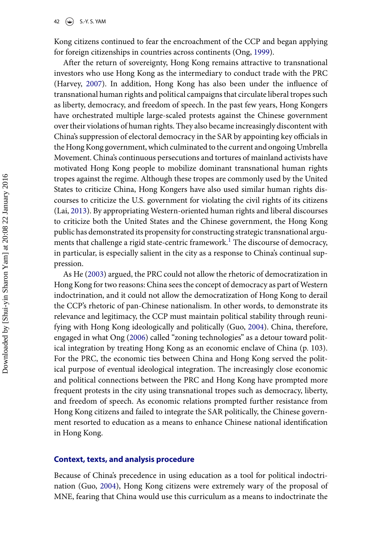Kong citizens continued to fear the encroachment of the CCP and began applying for foreign citizenships in countries across continents (Ong, [1999\)](#page-15-14).

After the return of sovereignty, Hong Kong remains attractive to transnational investors who use Hong Kong as the intermediary to conduct trade with the PRC (Harvey, [2007\)](#page-14-1). In addition, Hong Kong has also been under the influence of transnational human rights and political campaigns that circulate liberal tropes such as liberty, democracy, and freedom of speech. In the past few years, Hong Kongers have orchestrated multiple large-scaled protests against the Chinese government over their violations of human rights. They also became increasingly discontent with China's suppression of electoral democracy in the SAR by appointing key officials in the Hong Kong government, which culminated to the current and ongoing Umbrella Movement. China's continuous persecutions and tortures of mainland activists have motivated Hong Kong people to mobilize dominant transnational human rights tropes against the regime. Although these tropes are commonly used by the United States to criticize China, Hong Kongers have also used similar human rights discourses to criticize the U.S. government for violating the civil rights of its citizens (Lai, [2013\)](#page-14-10). By appropriating Western-oriented human rights and liberal discourses to criticize both the United States and the Chinese government, the Hong Kong public has demonstrated its propensity for constructing strategic transnational argu-ments that challenge a rigid state-centric framework.<sup>[1](#page-13-2)</sup> The discourse of democracy, in particular, is especially salient in the city as a response to China's continual suppression.

As He [\(2003\)](#page-14-11) argued, the PRC could not allow the rhetoric of democratization in Hong Kong for two reasons: China sees the concept of democracy as part of Western indoctrination, and it could not allow the democratization of Hong Kong to derail the CCP's rhetoric of pan-Chinese nationalism. In other words, to demonstrate its relevance and legitimacy, the CCP must maintain political stability through reunifying with Hong Kong ideologically and politically (Guo, [2004\)](#page-14-7). China, therefore, engaged in what Ong [\(2006\)](#page-15-7) called "zoning technologies" as a detour toward political integration by treating Hong Kong as an economic enclave of China (p. 103). For the PRC, the economic ties between China and Hong Kong served the political purpose of eventual ideological integration. The increasingly close economic and political connections between the PRC and Hong Kong have prompted more frequent protests in the city using transnational tropes such as democracy, liberty, and freedom of speech. As economic relations prompted further resistance from Hong Kong citizens and failed to integrate the SAR politically, the Chinese government resorted to education as a means to enhance Chinese national identification in Hong Kong.

# **Context, texts, and analysis procedure**

Because of China's precedence in using education as a tool for political indoctrination (Guo, [2004\)](#page-14-7), Hong Kong citizens were extremely wary of the proposal of MNE, fearing that China would use this curriculum as a means to indoctrinate the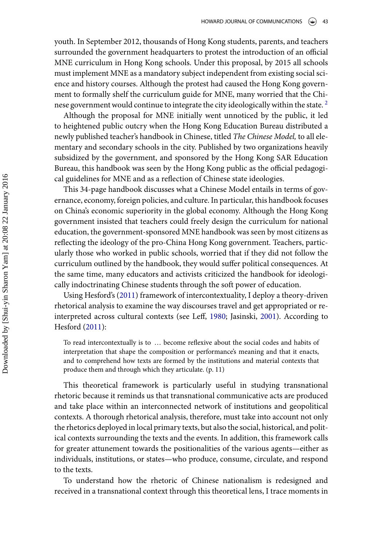youth. In September 2012, thousands of Hong Kong students, parents, and teachers surrounded the government headquarters to protest the introduction of an official MNE curriculum in Hong Kong schools. Under this proposal, by 2015 all schools must implement MNE as a mandatory subject independent from existing social science and history courses. Although the protest had caused the Hong Kong government to formally shelf the curriculum guide for MNE, many worried that the Chi-nese government would continue to integrate the city ideologically within the state.<sup>[2](#page-13-3)</sup>

Although the proposal for MNE initially went unnoticed by the public, it led to heightened public outcry when the Hong Kong Education Bureau distributed a newly published teacher's handbook in Chinese, titled *The Chinese Model,* to all elementary and secondary schools in the city. Published by two organizations heavily subsidized by the government, and sponsored by the Hong Kong SAR Education Bureau, this handbook was seen by the Hong Kong public as the official pedagogical guidelines for MNE and as a reflection of Chinese state ideologies.

This 34-page handbook discusses what a Chinese Model entails in terms of governance, economy, foreign policies, and culture. In particular, this handbook focuses on China's economic superiority in the global economy. Although the Hong Kong government insisted that teachers could freely design the curriculum for national education, the government-sponsored MNE handbook was seen by most citizens as reflecting the ideology of the pro-China Hong Kong government. Teachers, particularly those who worked in public schools, worried that if they did not follow the curriculum outlined by the handbook, they would suffer political consequences. At the same time, many educators and activists criticized the handbook for ideologically indoctrinating Chinese students through the soft power of education.

Using Hesford's [\(2011\)](#page-14-12) framework of intercontextuality, I deploy a theory-driven rhetorical analysis to examine the way discourses travel and get appropriated or reinterpreted across cultural contexts (see Leff, [1980;](#page-14-13) Jasinski, [2001\)](#page-14-14). According to Hesford [\(2011\)](#page-14-12):

To read intercontextually is to … become reflexive about the social codes and habits of interpretation that shape the composition or performance's meaning and that it enacts, and to comprehend how texts are formed by the institutions and material contexts that produce them and through which they articulate. (p. 11)

This theoretical framework is particularly useful in studying transnational rhetoric because it reminds us that transnational communicative acts are produced and take place within an interconnected network of institutions and geopolitical contexts. A thorough rhetorical analysis, therefore, must take into account not only the rhetorics deployed in local primary texts, but also the social, historical, and political contexts surrounding the texts and the events. In addition, this framework calls for greater attunement towards the positionalities of the various agents—either as individuals, institutions, or states—who produce, consume, circulate, and respond to the texts.

To understand how the rhetoric of Chinese nationalism is redesigned and received in a transnational context through this theoretical lens, I trace moments in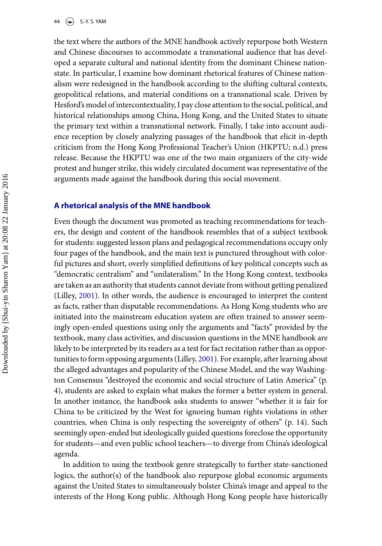the text where the authors of the MNE handbook actively repurpose both Western and Chinese discourses to accommodate a transnational audience that has developed a separate cultural and national identity from the dominant Chinese nationstate. In particular, I examine how dominant rhetorical features of Chinese nationalism were redesigned in the handbook according to the shifting cultural contexts, geopolitical relations, and material conditions on a transnational scale. Driven by Hesford's model of intercontextuality, I pay close attention to the social, political, and historical relationships among China, Hong Kong, and the United States to situate the primary text within a transnational network. Finally, I take into account audience reception by closely analyzing passages of the handbook that elicit in-depth criticism from the Hong Kong Professional Teacher's Union (HKPTU; n.d.) press release. Because the HKPTU was one of the two main organizers of the city-wide protest and hunger strike, this widely circulated document was representative of the arguments made against the handbook during this social movement.

## **A rhetorical analysis of the MNE handbook**

Even though the document was promoted as teaching recommendations for teachers, the design and content of the handbook resembles that of a subject textbook for students: suggested lesson plans and pedagogical recommendations occupy only four pages of the handbook, and the main text is punctured throughout with colorful pictures and short, overly simplified definitions of key political concepts such as "democratic centralism" and "unilateralism." In the Hong Kong context, textbooks are taken as an authority that students cannot deviate from without getting penalized (Lilley, [2001\)](#page-14-15). In other words, the audience is encouraged to interpret the content as facts, rather than disputable recommendations. As Hong Kong students who are initiated into the mainstream education system are often trained to answer seemingly open-ended questions using only the arguments and "facts" provided by the textbook, many class activities, and discussion questions in the MNE handbook are likely to be interpreted by its readers as a test for fact recitation rather than as opportunities to form opposing arguments (Lilley, [2001\)](#page-14-15). For example, after learning about the alleged advantages and popularity of the Chinese Model, and the way Washington Consensus "destroyed the economic and social structure of Latin America" (p. 4), students are asked to explain what makes the former a better system in general. In another instance, the handbook asks students to answer "whether it is fair for China to be criticized by the West for ignoring human rights violations in other countries, when China is only respecting the sovereignty of others" (p. 14). Such seemingly open-ended but ideologically guided questions foreclose the opportunity for students—and even public school teachers—to diverge from China's ideological agenda.

In addition to using the textbook genre strategically to further state-sanctioned logics, the author(s) of the handbook also repurpose global economic arguments against the United States to simultaneously bolster China's image and appeal to the interests of the Hong Kong public. Although Hong Kong people have historically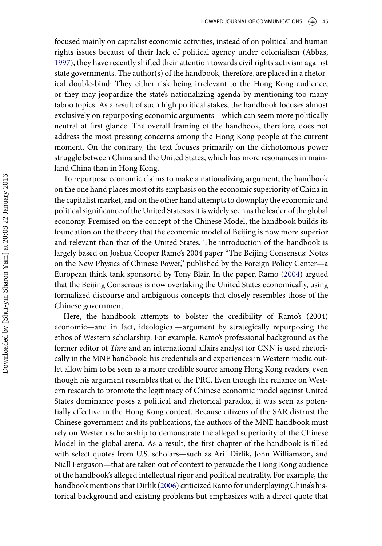focused mainly on capitalist economic activities, instead of on political and human rights issues because of their lack of political agency under colonialism (Abbas, [1997\)](#page-13-4), they have recently shifted their attention towards civil rights activism against state governments. The author(s) of the handbook, therefore, are placed in a rhetorical double-bind: They either risk being irrelevant to the Hong Kong audience, or they may jeopardize the state's nationalizing agenda by mentioning too many taboo topics. As a result of such high political stakes, the handbook focuses almost exclusively on repurposing economic arguments—which can seem more politically neutral at first glance. The overall framing of the handbook, therefore, does not address the most pressing concerns among the Hong Kong people at the current moment. On the contrary, the text focuses primarily on the dichotomous power struggle between China and the United States, which has more resonances in mainland China than in Hong Kong.

To repurpose economic claims to make a nationalizing argument, the handbook on the one hand places most of its emphasis on the economic superiority of China in the capitalist market, and on the other hand attempts to downplay the economic and political significance of the United States as it is widely seen as the leader of the global economy. Premised on the concept of the Chinese Model, the handbook builds its foundation on the theory that the economic model of Beijing is now more superior and relevant than that of the United States. The introduction of the handbook is largely based on Joshua Cooper Ramo's 2004 paper "The Beijing Consensus: Notes on the New Physics of Chinese Power," published by the Foreign Policy Center—a European think tank sponsored by Tony Blair. In the paper, Ramo [\(2004\)](#page-15-15) argued that the Beijing Consensus is now overtaking the United States economically, using formalized discourse and ambiguous concepts that closely resembles those of the Chinese government.

Here, the handbook attempts to bolster the credibility of Ramo's (2004) economic—and in fact, ideological—argument by strategically repurposing the ethos of Western scholarship. For example, Ramo's professional background as the former editor of *Time* and an international affairs analyst for CNN is used rhetorically in the MNE handbook: his credentials and experiences in Western media outlet allow him to be seen as a more credible source among Hong Kong readers, even though his argument resembles that of the PRC. Even though the reliance on Western research to promote the legitimacy of Chinese economic model against United States dominance poses a political and rhetorical paradox, it was seen as potentially effective in the Hong Kong context. Because citizens of the SAR distrust the Chinese government and its publications, the authors of the MNE handbook must rely on Western scholarship to demonstrate the alleged superiority of the Chinese Model in the global arena. As a result, the first chapter of the handbook is filled with select quotes from U.S. scholars—such as Arif Dirlik, John Williamson, and Niall Ferguson—that are taken out of context to persuade the Hong Kong audience of the handbook's alleged intellectual rigor and political neutrality. For example, the handbook mentions that Dirlik [\(2006\)](#page-14-16) criticized Ramo for underplaying China's historical background and existing problems but emphasizes with a direct quote that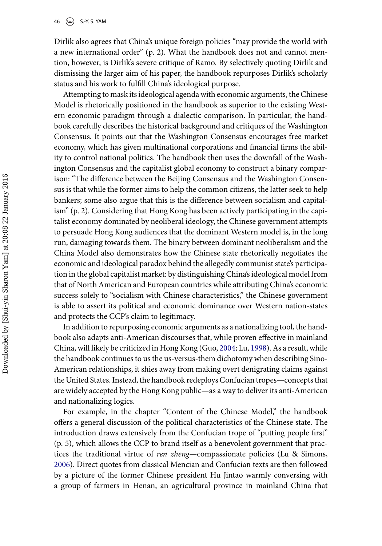46  $\leftarrow$  S.-Y. S. YAM

Dirlik also agrees that China's unique foreign policies "may provide the world with a new international order" (p. 2). What the handbook does not and cannot mention, however, is Dirlik's severe critique of Ramo. By selectively quoting Dirlik and dismissing the larger aim of his paper, the handbook repurposes Dirlik's scholarly status and his work to fulfill China's ideological purpose.

Attempting to mask its ideological agenda with economic arguments, the Chinese Model is rhetorically positioned in the handbook as superior to the existing Western economic paradigm through a dialectic comparison. In particular, the handbook carefully describes the historical background and critiques of the Washington Consensus. It points out that the Washington Consensus encourages free market economy, which has given multinational corporations and financial firms the ability to control national politics. The handbook then uses the downfall of the Washington Consensus and the capitalist global economy to construct a binary comparison: "The difference between the Beijing Consensus and the Washington Consensus is that while the former aims to help the common citizens, the latter seek to help bankers; some also argue that this is the difference between socialism and capitalism" (p. 2). Considering that Hong Kong has been actively participating in the capitalist economy dominated by neoliberal ideology, the Chinese government attempts to persuade Hong Kong audiences that the dominant Western model is, in the long run, damaging towards them. The binary between dominant neoliberalism and the China Model also demonstrates how the Chinese state rhetorically negotiates the economic and ideological paradox behind the allegedly communist state's participation in the global capitalist market: by distinguishing China's ideological model from that of North American and European countries while attributing China's economic success solely to "socialism with Chinese characteristics," the Chinese government is able to assert its political and economic dominance over Western nation-states and protects the CCP's claim to legitimacy.

In addition to repurposing economic arguments as a nationalizing tool, the handbook also adapts anti-American discourses that, while proven effective in mainland China, will likely be criticized in Hong Kong (Guo, [2004;](#page-14-7) Lu, [1998\)](#page-15-11). As a result, while the handbook continues to us the us-versus-them dichotomy when describing Sino-American relationships, it shies away from making overt denigrating claims against the United States. Instead, the handbook redeploys Confucian tropes—concepts that are widely accepted by the Hong Kong public—as a way to deliver its anti-American and nationalizing logics.

For example, in the chapter "Content of the Chinese Model," the handbook offers a general discussion of the political characteristics of the Chinese state. The introduction draws extensively from the Confucian trope of "putting people first" (p. 5), which allows the CCP to brand itself as a benevolent government that practices the traditional virtue of *ren zheng*—compassionate policies (Lu & Simons, [2006\)](#page-15-5). Direct quotes from classical Mencian and Confucian texts are then followed by a picture of the former Chinese president Hu Jintao warmly conversing with a group of farmers in Henan, an agricultural province in mainland China that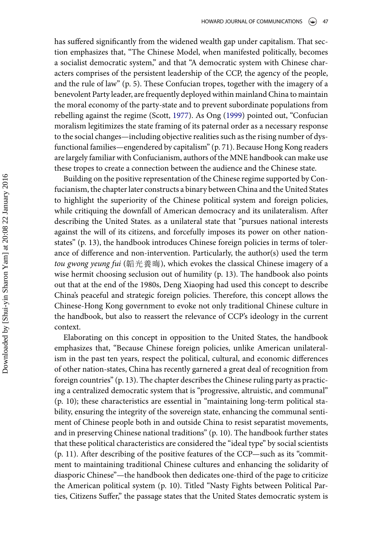has suffered significantly from the widened wealth gap under capitalism. That section emphasizes that, "The Chinese Model, when manifested politically, becomes a socialist democratic system," and that "A democratic system with Chinese characters comprises of the persistent leadership of the CCP, the agency of the people, and the rule of law" (p. 5). These Confucian tropes, together with the imagery of a benevolent Party leader, are frequently deployed within mainland China to maintain the moral economy of the party-state and to prevent subordinate populations from rebelling against the regime (Scott, [1977\)](#page-15-16). As Ong [\(1999\)](#page-15-14) pointed out, "Confucian moralism legitimizes the state framing of its paternal order as a necessary response to the social changes—including objective realities such as the rising number of dysfunctional families—engendered by capitalism" (p. 71). Because Hong Kong readers are largely familiar with Confucianism, authors of the MNE handbook can make use these tropes to create a connection between the audience and the Chinese state.

Building on the positive representation of the Chinese regime supported by Confucianism, the chapter later constructs a binary between China and the United States to highlight the superiority of the Chinese political system and foreign policies, while critiquing the downfall of American democracy and its unilateralism. After describing the United States. as a unilateral state that "pursues national interests against the will of its citizens, and forcefully imposes its power on other nationstates" (p. 13), the handbook introduces Chinese foreign policies in terms of tolerance of difference and non-intervention. Particularly, the author(s) used the term *tou gwong yeung fui* (韜光養晦), which evokes the classical Chinese imagery of a wise hermit choosing seclusion out of humility (p. 13). The handbook also points out that at the end of the 1980s, Deng Xiaoping had used this concept to describe China's peaceful and strategic foreign policies. Therefore, this concept allows the Chinese-Hong Kong government to evoke not only traditional Chinese culture in the handbook, but also to reassert the relevance of CCP's ideology in the current context.

Elaborating on this concept in opposition to the United States, the handbook emphasizes that, "Because Chinese foreign policies, unlike American unilateralism in the past ten years, respect the political, cultural, and economic differences of other nation-states, China has recently garnered a great deal of recognition from foreign countries" (p. 13). The chapter describes the Chinese ruling party as practicing a centralized democratic system that is "progressive, altruistic, and communal" (p. 10); these characteristics are essential in "maintaining long-term political stability, ensuring the integrity of the sovereign state, enhancing the communal sentiment of Chinese people both in and outside China to resist separatist movements, and in preserving Chinese national traditions" (p. 10). The handbook further states that these political characteristics are considered the "ideal type" by social scientists (p. 11). After describing of the positive features of the CCP—such as its "commitment to maintaining traditional Chinese cultures and enhancing the solidarity of diasporic Chinese"—the handbook then dedicates one-third of the page to criticize the American political system (p. 10). Titled "Nasty Fights between Political Parties, Citizens Suffer," the passage states that the United States democratic system is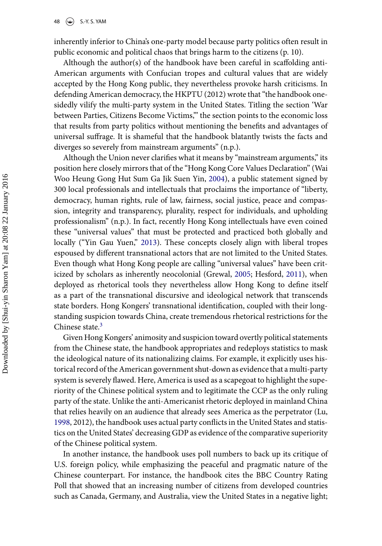inherently inferior to China's one-party model because party politics often result in public economic and political chaos that brings harm to the citizens (p. 10).

Although the author(s) of the handbook have been careful in scaffolding anti-American arguments with Confucian tropes and cultural values that are widely accepted by the Hong Kong public, they nevertheless provoke harsh criticisms. In defending American democracy, the HKPTU (2012) wrote that "the handbook onesidedly vilify the multi-party system in the United States. Titling the section 'War between Parties, Citizens Become Victims,"' the section points to the economic loss that results from party politics without mentioning the benefits and advantages of universal suffrage. It is shameful that the handbook blatantly twists the facts and diverges so severely from mainstream arguments" (n.p.).

Although the Union never clarifies what it means by "mainstream arguments," its position here closely mirrors that of the "Hong Kong Core Values Declaration" (Wai Woo Heung Gong Hut Sum Ga Jik Suen Yin, [2004\)](#page-15-17), a public statement signed by 300 local professionals and intellectuals that proclaims the importance of "liberty, democracy, human rights, rule of law, fairness, social justice, peace and compassion, integrity and transparency, plurality, respect for individuals, and upholding professionalism" (n.p.). In fact, recently Hong Kong intellectuals have even coined these "universal values" that must be protected and practiced both globally and locally ("Yin Gau Yuen," [2013\)](#page-15-18). These concepts closely align with liberal tropes espoused by different transnational actors that are not limited to the United States. Even though what Hong Kong people are calling "universal values" have been criticized by scholars as inherently neocolonial (Grewal, [2005;](#page-14-2) Hesford, [2011\)](#page-14-12), when deployed as rhetorical tools they nevertheless allow Hong Kong to define itself as a part of the transnational discursive and ideological network that transcends state borders. Hong Kongers' transnational identification, coupled with their longstanding suspicion towards China, create tremendous rhetorical restrictions for the Chinese state.<sup>[3](#page-13-5)</sup>

Given Hong Kongers' animosity and suspicion toward overtly political statements from the Chinese state, the handbook appropriates and redeploys statistics to mask the ideological nature of its nationalizing claims. For example, it explicitly uses historical record of the American government shut-down as evidence that a multi-party system is severely flawed. Here, America is used as a scapegoat to highlight the superiority of the Chinese political system and to legitimate the CCP as the only ruling party of the state. Unlike the anti-Americanist rhetoric deployed in mainland China that relies heavily on an audience that already sees America as the perpetrator (Lu, [1998,](#page-15-11) 2012), the handbook uses actual party conflicts in the United States and statistics on the United States' decreasing GDP as evidence of the comparative superiority of the Chinese political system.

In another instance, the handbook uses poll numbers to back up its critique of U.S. foreign policy, while emphasizing the peaceful and pragmatic nature of the Chinese counterpart. For instance, the handbook cites the BBC Country Rating Poll that showed that an increasing number of citizens from developed countries such as Canada, Germany, and Australia, view the United States in a negative light;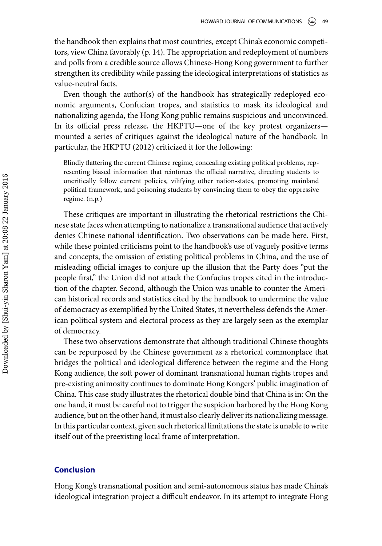the handbook then explains that most countries, except China's economic competitors, view China favorably (p. 14). The appropriation and redeployment of numbers and polls from a credible source allows Chinese-Hong Kong government to further strengthen its credibility while passing the ideological interpretations of statistics as value-neutral facts.

Even though the author(s) of the handbook has strategically redeployed economic arguments, Confucian tropes, and statistics to mask its ideological and nationalizing agenda, the Hong Kong public remains suspicious and unconvinced. In its official press release, the HKPTU—one of the key protest organizers mounted a series of critiques against the ideological nature of the handbook. In particular, the HKPTU (2012) criticized it for the following:

Blindly flattering the current Chinese regime, concealing existing political problems, representing biased information that reinforces the official narrative, directing students to uncritically follow current policies, vilifying other nation-states, promoting mainland political framework, and poisoning students by convincing them to obey the oppressive regime. (n.p.)

These critiques are important in illustrating the rhetorical restrictions the Chinese state faces when attempting to nationalize a transnational audience that actively denies Chinese national identification. Two observations can be made here. First, while these pointed criticisms point to the handbook's use of vaguely positive terms and concepts, the omission of existing political problems in China, and the use of misleading official images to conjure up the illusion that the Party does "put the people first," the Union did not attack the Confucius tropes cited in the introduction of the chapter. Second, although the Union was unable to counter the American historical records and statistics cited by the handbook to undermine the value of democracy as exemplified by the United States, it nevertheless defends the American political system and electoral process as they are largely seen as the exemplar of democracy.

These two observations demonstrate that although traditional Chinese thoughts can be repurposed by the Chinese government as a rhetorical commonplace that bridges the political and ideological difference between the regime and the Hong Kong audience, the soft power of dominant transnational human rights tropes and pre-existing animosity continues to dominate Hong Kongers' public imagination of China. This case study illustrates the rhetorical double bind that China is in: On the one hand, it must be careful not to trigger the suspicion harbored by the Hong Kong audience, but on the other hand, it must also clearly deliver its nationalizing message. In this particular context, given such rhetorical limitations the state is unable to write itself out of the preexisting local frame of interpretation.

# **Conclusion**

Hong Kong's transnational position and semi-autonomous status has made China's ideological integration project a difficult endeavor. In its attempt to integrate Hong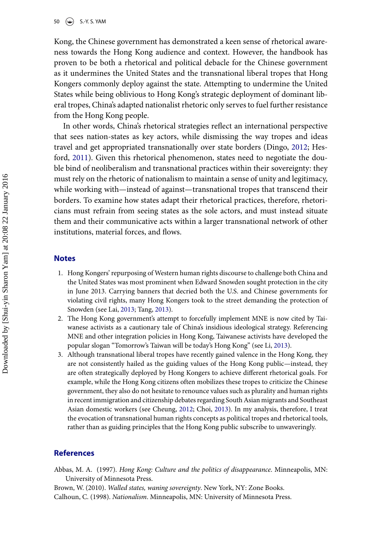Kong, the Chinese government has demonstrated a keen sense of rhetorical awareness towards the Hong Kong audience and context. However, the handbook has proven to be both a rhetorical and political debacle for the Chinese government as it undermines the United States and the transnational liberal tropes that Hong Kongers commonly deploy against the state. Attempting to undermine the United States while being oblivious to Hong Kong's strategic deployment of dominant liberal tropes, China's adapted nationalist rhetoric only serves to fuel further resistance from the Hong Kong people.

In other words, China's rhetorical strategies reflect an international perspective that sees nation-states as key actors, while dismissing the way tropes and ideas travel and get appropriated transnationally over state borders (Dingo, [2012;](#page-14-17) Hesford, [2011\)](#page-14-12). Given this rhetorical phenomenon, states need to negotiate the double bind of neoliberalism and transnational practices within their sovereignty: they must rely on the rhetoric of nationalism to maintain a sense of unity and legitimacy, while working with—instead of against—transnational tropes that transcend their borders. To examine how states adapt their rhetorical practices, therefore, rhetoricians must refrain from seeing states as the sole actors, and must instead situate them and their communicative acts within a larger transnational network of other institutions, material forces, and flows.

#### **Notes**

- <span id="page-13-2"></span>1. Hong Kongers' repurposing of Western human rights discourse to challenge both China and the United States was most prominent when Edward Snowden sought protection in the city in June 2013. Carrying banners that decried both the U.S. and Chinese governments for violating civil rights, many Hong Kongers took to the street demanding the protection of Snowden (see Lai, [2013;](#page-14-10) Tang, [2013\)](#page-15-19).
- <span id="page-13-3"></span>2. The Hong Kong government's attempt to forcefully implement MNE is now cited by Taiwanese activists as a cautionary tale of China's insidious ideological strategy. Referencing MNE and other integration policies in Hong Kong, Taiwanese activists have developed the popular slogan "Tomorrow's Taiwan will be today's Hong Kong" (see Li, [2013\)](#page-14-18).
- <span id="page-13-5"></span>3. Although transnational liberal tropes have recently gained valence in the Hong Kong, they are not consistently hailed as the guiding values of the Hong Kong public—instead, they are often strategically deployed by Hong Kongers to achieve different rhetorical goals. For example, while the Hong Kong citizens often mobilizes these tropes to criticize the Chinese government, they also do not hesitate to renounce values such as plurality and human rights in recent immigration and citizenship debates regarding South Asian migrants and Southeast Asian domestic workers (see Cheung, [2012;](#page-14-19) Choi, [2013\)](#page-14-20). In my analysis, therefore, I treat the evocation of transnational human rights concepts as political tropes and rhetorical tools, rather than as guiding principles that the Hong Kong public subscribe to unwaveringly.

#### **References**

<span id="page-13-4"></span>Abbas, M. A. (1997). *Hong Kong: Culture and the politics of disappearance*. Minneapolis, MN: University of Minnesota Press.

<span id="page-13-1"></span><span id="page-13-0"></span>Brown, W. (2010). *Walled states, waning sovereignty*. New York, NY: Zone Books. Calhoun, C. (1998). *Nationalism*. Minneapolis, MN: University of Minnesota Press.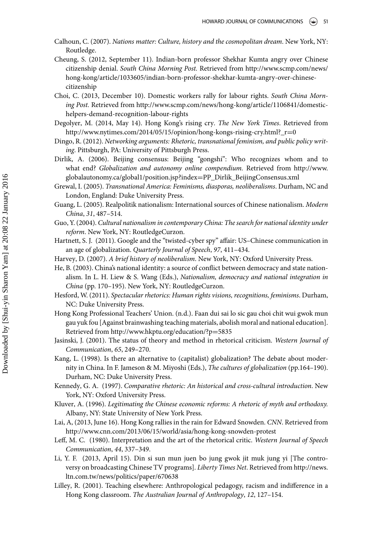- <span id="page-14-0"></span>Calhoun, C. (2007). *Nations matter: Culture, history and the cosmopolitan dream*. New York, NY: Routledge.
- <span id="page-14-19"></span>Cheung, S. (2012, September 11). Indian-born professor Shekhar Kumta angry over Chinese citizenship denial. *South China Morning Post.* Retrieved from http://www.scmp.com/news/ [hong-kong/article/1033605/indian-born-professor-shekhar-kumta-angry-over-chinese](http://www.scmp.com/news/hong-kong/article/1033605/indian-born-professor-shekhar-kumta-angry-over-chinese-citizenship)citizenship
- <span id="page-14-20"></span>Choi, C. (2013, December 10). Domestic workers rally for labour rights. *South China Morning Post.* [Retrieved from http://www.scmp.com/news/hong-kong/article/1106841/domestic](http://www.scmp.com/news/hong-kong/article/1106841/domestic-helpers-demand-recognition-labour-rights)helpers-demand-recognition-labour-rights
- <span id="page-14-9"></span>Degolyer, M. (2014, May 14). Hong Kong's rising cry. *The New York Times*. Retrieved from [http://www.nytimes.com/2014/05/15/opinion/hong-kongs-rising-cry.html?\\_r](http://www.nytimes.com/2014/05/15/opinion/hong-kongs-rising-cry.html?_r=0)=0
- <span id="page-14-17"></span>Dingo, R. (2012). *Networking arguments: Rhetoric, transnational feminism, and public policy writing*. Pittsburgh, PA: University of Pittsburgh Press.
- <span id="page-14-16"></span>Dirlik, A. (2006). Beijing consensus: Beijing "gongshi": Who recognizes whom and to what end? *[Globalization and autonomy online compendium.](http://www.globalautonomy.ca/global1/position.jsp?index=PP_Dirlik_BeijingConsensus.xml)* Retrieved from http://www. globalautonomy.ca/global1/position.jsp?index=PP\_Dirlik\_BeijingConsensus.xml
- <span id="page-14-2"></span>Grewal, I. (2005). *Transnational America: Feminisms, diasporas, neoliberalisms*. Durham, NC and London, England: Duke University Press.
- <span id="page-14-5"></span>Guang, L. (2005). Realpolitik nationalism: International sources of Chinese nationalism. *Modern China*, *31*, 487–514.
- <span id="page-14-7"></span>Guo, Y. (2004). *Cultural nationalism in contemporary China: The search for national identity under reform*. New York, NY: RoutledgeCurzon.
- <span id="page-14-6"></span>Hartnett, S. J. (2011). Google and the "twisted-cyber spy" affair: US–Chinese communication in an age of globalization. *Quarterly Journal of Speech*, *97*, 411–434.
- <span id="page-14-1"></span>Harvey, D. (2007). *A brief history of neoliberalism*. New York, NY: Oxford University Press.
- <span id="page-14-11"></span>He, B. (2003). China's national identity: a source of conflict between democracy and state nationalism. In L. H. Liew & S. Wang (Eds.), *Nationalism, democracy and national integration in China* (pp. 170–195). New York, NY: RoutledgeCurzon.
- <span id="page-14-12"></span>Hesford, W. (2011). *Spectacular rhetorics: Human rights visions, recognitions, feminisms*. Durham, NC: Duke University Press.
- Hong Kong Professional Teachers' Union. (n.d.). Faan dui sai lo sic gau choi chit wui gwok mun gau yuk fou [Against brainwashing teaching materials, abolish moral and national education]. Retrieved from [http://www.hkptu.org/education/?p](http://www.hkptu.org/education/?p=5835)=5835
- <span id="page-14-14"></span>Jasinski, J. (2001). The status of theory and method in rhetorical criticism. *Western Journal of Communication*, *65*, 249–270.
- <span id="page-14-8"></span>Kang, L. (1998). Is there an alternative to (capitalist) globalization? The debate about modernity in China. In F. Jameson & M. Miyoshi (Eds.), *The cultures of globalization* (pp.164–190). Durham, NC: Duke University Press.
- <span id="page-14-3"></span>Kennedy, G. A. (1997). *Comparative rhetoric: An historical and cross-cultural introduction*. New York, NY: Oxford University Press.
- <span id="page-14-4"></span>Kluver, A. (1996). *Legitimating the Chinese economic reforms: A rhetoric of myth and orthodoxy.* Albany, NY: State University of New York Press.
- <span id="page-14-10"></span>Lai, A, (2013, June 16). Hong Kong rallies in the rain for Edward Snowden. *CNN*. Retrieved from <http://www.cnn.com/2013/06/15/world/asia/hong-kong-snowden-protest>
- <span id="page-14-13"></span>Leff, M. C. (1980). Interpretation and the art of the rhetorical critic. *Western Journal of Speech Communication*, *44*, 337–349.
- <span id="page-14-18"></span>Li, Y. F. (2013, April 15). Din si sun mun juen bo jung gwok jit muk jung yi [The contro[versy on broadcasting Chinese TV programs\].](http://news.ltn.com.tw/news/politics/paper/670638) *Liberty Times Net*. Retrieved from http://news. ltn.com.tw/news/politics/paper/670638
- <span id="page-14-15"></span>Lilley, R. (2001). Teaching elsewhere: Anthropological pedagogy, racism and indifference in a Hong Kong classroom. *The Australian Journal of Anthropology*, *12*, 127–154.